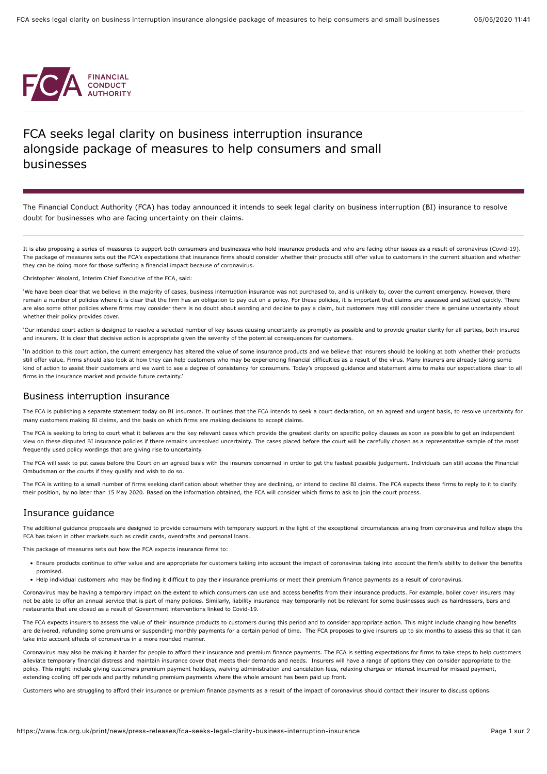

# FCA seeks legal clarity on business interruption insurance alongside package of measures to help consumers and small businesses

The Financial Conduct Authority (FCA) has today announced it intends to seek legal clarity on business interruption (BI) insurance to resolve doubt for businesses who are facing uncertainty on their claims.

It is also proposing a series of measures to support both consumers and businesses who hold insurance products and who are facing other issues as a result of coronavirus (Covid-19). The package of measures sets out the FCA's expectations that insurance firms should consider whether their products still offer value to customers in the current situation and whether they can be doing more for those suffering a financial impact because of coronavirus.

Christopher Woolard, Interim Chief Executive of the FCA, said:

'We have been clear that we believe in the majority of cases, business interruption insurance was not purchased to, and is unlikely to, cover the current emergency. However, there remain a number of policies where it is clear that the firm has an obligation to pay out on a policy. For these policies, it is important that claims are assessed and settled quickly. There are also some other policies where firms may consider there is no doubt about wording and decline to pay a claim, but customers may still consider there is genuine uncertainty about whether their policy provides cover.

'Our intended court action is designed to resolve a selected number of key issues causing uncertainty as promptly as possible and to provide greater clarity for all parties, both insured and insurers. It is clear that decisive action is appropriate given the severity of the potential consequences for customers.

'In addition to this court action, the current emergency has altered the value of some insurance products and we believe that insurers should be looking at both whether their products still offer value. Firms should also look at how they can help customers who may be experiencing financial difficulties as a result of the virus. Many insurers are already taking some kind of action to assist their customers and we want to see a degree of consistency for consumers. Today's proposed guidance and statement aims to make our expectations clear to all firms in the insurance market and provide future certainty.'

## Business interruption insurance

The FCA is publishing a separate statement today on BI insurance. It outlines that the FCA intends to seek a court declaration, on an agreed and urgent basis, to resolve uncertainty for many customers making BI claims, and the basis on which firms are making decisions to accept claims.

The FCA is seeking to bring to court what it believes are the key relevant cases which provide the greatest clarity on specific policy clauses as soon as possible to get an independent view on these disputed BI insurance policies if there remains unresolved uncertainty. The cases placed before the court will be carefully chosen as a representative sample of the most frequently used policy wordings that are giving rise to uncertainty.

The FCA will seek to put cases before the Court on an agreed basis with the insurers concerned in order to get the fastest possible judgement. Individuals can still access the Financial Ombudsman or the courts if they qualify and wish to do so.

The FCA is writing to a small number of firms seeking clarification about whether they are declining, or intend to decline BI claims. The FCA expects these firms to reply to it to clarify their position, by no later than 15 May 2020. Based on the information obtained, the FCA will consider which firms to ask to join the court process.

# Insurance guidance

The additional guidance proposals are designed to provide consumers with temporary support in the light of the exceptional circumstances arising from coronavirus and follow steps the FCA has taken in other markets such as credit cards, overdrafts and personal loans.

This package of measures sets out how the FCA expects insurance firms to:

- Ensure products continue to offer value and are appropriate for customers taking into account the impact of coronavirus taking into account the firm's ability to deliver the benefits promised.
- Help individual customers who may be finding it difficult to pay their insurance premiums or meet their premium finance payments as a result of coronavirus.

Coronavirus may be having a temporary impact on the extent to which consumers can use and access benefits from their insurance products. For example, boiler cover insurers may not be able to offer an annual service that is part of many policies. Similarly, liability insurance may temporarily not be relevant for some businesses such as hairdressers, bars and restaurants that are closed as a result of Government interventions linked to Covid-19.

The FCA expects insurers to assess the value of their insurance products to customers during this period and to consider appropriate action. This might include changing how benefits are delivered, refunding some premiums or suspending monthly payments for a certain period of time. The FCA proposes to give insurers up to six months to assess this so that it can take into account effects of coronavirus in a more rounded manner.

Coronavirus may also be making it harder for people to afford their insurance and premium finance payments. The FCA is setting expectations for firms to take steps to help customers alleviate temporary financial distress and maintain insurance cover that meets their demands and needs. Insurers will have a range of options they can consider appropriate to the policy. This might include giving customers premium payment holidays, waiving administration and cancelation fees, relaxing charges or interest incurred for missed payment, extending cooling off periods and partly refunding premium payments where the whole amount has been paid up front.

Customers who are struggling to afford their insurance or premium finance payments as a result of the impact of coronavirus should contact their insurer to discuss options.